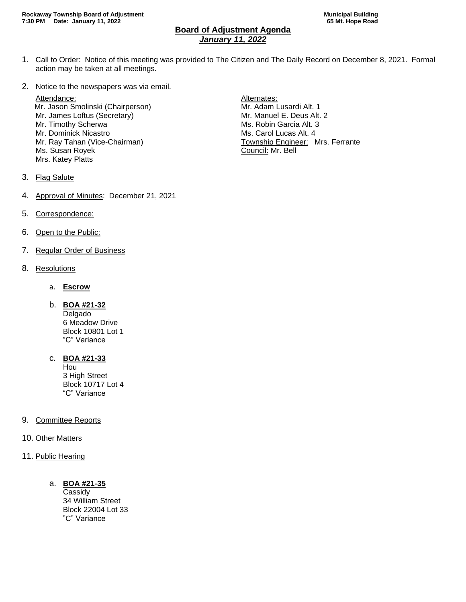## **Board of Adjustment Agenda** *January 11, 2022*

- 1. Call to Order: Notice of this meeting was provided to The Citizen and The Daily Record on December 8, 2021. Formal action may be taken at all meetings.
- 2. Notice to the newspapers was via email.

Attendance: Attendance: Alternates: Mr. Jason Smolinski (Chairperson) Mr. Adam Lusardi Alt. 1 Mr. James Loftus (Secretary) Mr. Manuel E. Deus Alt. 2 Mr. Timothy Scherwa **Ms. Robin Garcia Alt. 3** Mr. Dominick Nicastro **Ms. Carol Lucas Alt. 4** Ms. Susan Royek **Council: Mr. Bell** Mrs. Katey Platts

- Mr. Ray Tahan (Vice-Chairman) Township Engineer: Mrs. Ferrante
- 3. Flag Salute
- 4. Approval of Minutes: December 21, 2021
- 5. Correspondence:
- 6. Open to the Public:
- 7. Regular Order of Business
- 8. Resolutions
	- a. **Escrow**
	- b. **BOA #21-32**

Delgado 6 Meadow Drive Block 10801 Lot 1 "C" Variance

c. **BOA #21-33**

Hou 3 High Street Block 10717 Lot 4 "C" Variance

- 9. Committee Reports
- 10. Other Matters
- 11. Public Hearing
	- a. **BOA #21-35**

Cassidy 34 William Street Block 22004 Lot 33 "C" Variance